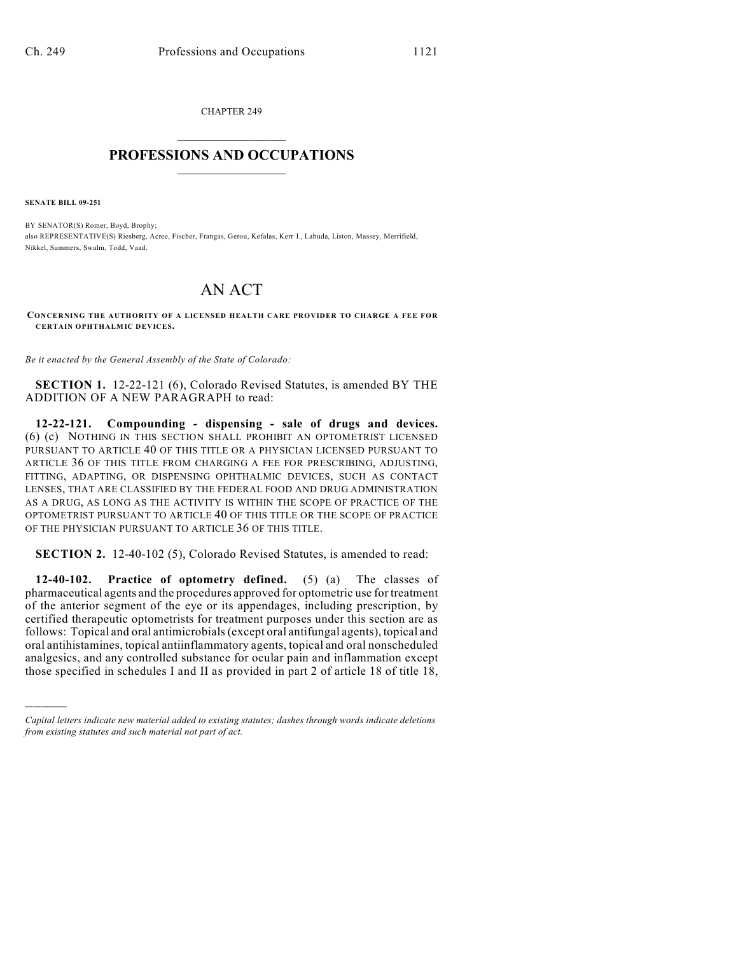CHAPTER 249  $\overline{\phantom{a}}$  . The set of the set of the set of the set of the set of the set of the set of the set of the set of the set of the set of the set of the set of the set of the set of the set of the set of the set of the set o

## **PROFESSIONS AND OCCUPATIONS**  $\frac{1}{2}$  ,  $\frac{1}{2}$  ,  $\frac{1}{2}$  ,  $\frac{1}{2}$  ,  $\frac{1}{2}$  ,  $\frac{1}{2}$

**SENATE BILL 09-251**

)))))

BY SENATOR(S) Romer, Boyd, Brophy; also REPRESENTATIVE(S) Riesberg, Acree, Fischer, Frangas, Gerou, Kefalas, Kerr J., Labuda, Liston, Massey, Merrifield, Nikkel, Summers, Swalm, Todd, Vaad.

## AN ACT

**CONCERNING THE AUTHORITY OF A LICENSED HEALTH CARE PROVIDER TO CHARGE A FEE FOR CERTAIN OPHTHALMIC DEVICES.**

*Be it enacted by the General Assembly of the State of Colorado:*

**SECTION 1.** 12-22-121 (6), Colorado Revised Statutes, is amended BY THE ADDITION OF A NEW PARAGRAPH to read:

**12-22-121. Compounding - dispensing - sale of drugs and devices.** (6) (c) NOTHING IN THIS SECTION SHALL PROHIBIT AN OPTOMETRIST LICENSED PURSUANT TO ARTICLE 40 OF THIS TITLE OR A PHYSICIAN LICENSED PURSUANT TO ARTICLE 36 OF THIS TITLE FROM CHARGING A FEE FOR PRESCRIBING, ADJUSTING, FITTING, ADAPTING, OR DISPENSING OPHTHALMIC DEVICES, SUCH AS CONTACT LENSES, THAT ARE CLASSIFIED BY THE FEDERAL FOOD AND DRUG ADMINISTRATION AS A DRUG, AS LONG AS THE ACTIVITY IS WITHIN THE SCOPE OF PRACTICE OF THE OPTOMETRIST PURSUANT TO ARTICLE 40 OF THIS TITLE OR THE SCOPE OF PRACTICE OF THE PHYSICIAN PURSUANT TO ARTICLE 36 OF THIS TITLE.

**SECTION 2.** 12-40-102 (5), Colorado Revised Statutes, is amended to read:

**12-40-102. Practice of optometry defined.** (5) (a) The classes of pharmaceutical agents and the procedures approved for optometric use for treatment of the anterior segment of the eye or its appendages, including prescription, by certified therapeutic optometrists for treatment purposes under this section are as follows: Topical and oral antimicrobials (except oral antifungal agents), topical and oral antihistamines, topical antiinflammatory agents, topical and oral nonscheduled analgesics, and any controlled substance for ocular pain and inflammation except those specified in schedules I and II as provided in part 2 of article 18 of title 18,

*Capital letters indicate new material added to existing statutes; dashes through words indicate deletions from existing statutes and such material not part of act.*